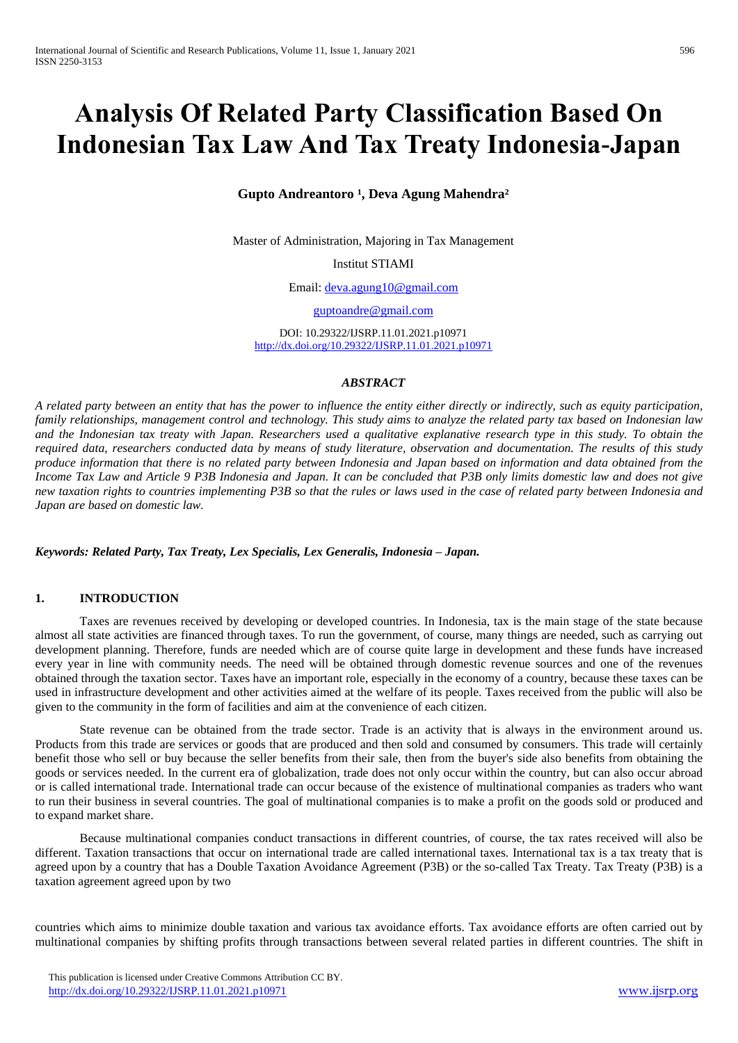# **Analysis Of Related Party Classification Based On Indonesian Tax Law And Tax Treaty Indonesia-Japan**

## Gupto Andreantoro<sup>1</sup>, Deva Agung Mahendra<sup>2</sup>

Master of Administration, Majoring in Tax Management

Institut STIAMI

Email: [deva.agung10@gmail.com](mailto:deva.agung10@gmail.com)

[guptoandre@gmail.com](mailto:guptoandre@gmail.com)

DOI: 10.29322/IJSRP.11.01.2021.p10971 <http://dx.doi.org/10.29322/IJSRP.11.01.2021.p10971>

#### *ABSTRACT*

*A related party between an entity that has the power to influence the entity either directly or indirectly, such as equity participation, family relationships, management control and technology. This study aims to analyze the related party tax based on Indonesian law and the Indonesian tax treaty with Japan. Researchers used a qualitative explanative research type in this study. To obtain the required data, researchers conducted data by means of study literature, observation and documentation. The results of this study produce information that there is no related party between Indonesia and Japan based on information and data obtained from the Income Tax Law and Article 9 P3B Indonesia and Japan. It can be concluded that P3B only limits domestic law and does not give new taxation rights to countries implementing P3B so that the rules or laws used in the case of related party between Indonesia and Japan are based on domestic law.*

*Keywords: Related Party, Tax Treaty, Lex Specialis, Lex Generalis, Indonesia – Japan.*

## **1. INTRODUCTION**

Taxes are revenues received by developing or developed countries. In Indonesia, tax is the main stage of the state because almost all state activities are financed through taxes. To run the government, of course, many things are needed, such as carrying out development planning. Therefore, funds are needed which are of course quite large in development and these funds have increased every year in line with community needs. The need will be obtained through domestic revenue sources and one of the revenues obtained through the taxation sector. Taxes have an important role, especially in the economy of a country, because these taxes can be used in infrastructure development and other activities aimed at the welfare of its people. Taxes received from the public will also be given to the community in the form of facilities and aim at the convenience of each citizen.

State revenue can be obtained from the trade sector. Trade is an activity that is always in the environment around us. Products from this trade are services or goods that are produced and then sold and consumed by consumers. This trade will certainly benefit those who sell or buy because the seller benefits from their sale, then from the buyer's side also benefits from obtaining the goods or services needed. In the current era of globalization, trade does not only occur within the country, but can also occur abroad or is called international trade. International trade can occur because of the existence of multinational companies as traders who want to run their business in several countries. The goal of multinational companies is to make a profit on the goods sold or produced and to expand market share.

Because multinational companies conduct transactions in different countries, of course, the tax rates received will also be different. Taxation transactions that occur on international trade are called international taxes. International tax is a tax treaty that is agreed upon by a country that has a Double Taxation Avoidance Agreement (P3B) or the so-called Tax Treaty. Tax Treaty (P3B) is a taxation agreement agreed upon by two

countries which aims to minimize double taxation and various tax avoidance efforts. Tax avoidance efforts are often carried out by multinational companies by shifting profits through transactions between several related parties in different countries. The shift in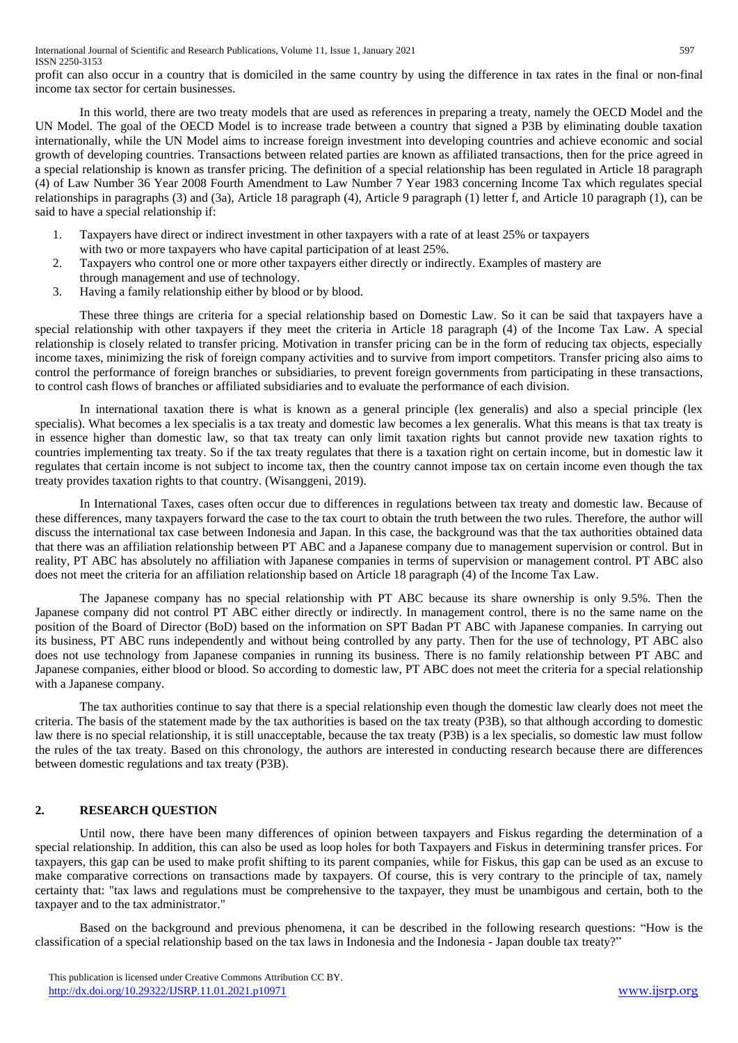profit can also occur in a country that is domiciled in the same country by using the difference in tax rates in the final or non-final income tax sector for certain businesses.

In this world, there are two treaty models that are used as references in preparing a treaty, namely the OECD Model and the UN Model. The goal of the OECD Model is to increase trade between a country that signed a P3B by eliminating double taxation internationally, while the UN Model aims to increase foreign investment into developing countries and achieve economic and social growth of developing countries. Transactions between related parties are known as affiliated transactions, then for the price agreed in a special relationship is known as transfer pricing. The definition of a special relationship has been regulated in Article 18 paragraph (4) of Law Number 36 Year 2008 Fourth Amendment to Law Number 7 Year 1983 concerning Income Tax which regulates special relationships in paragraphs (3) and (3a), Article 18 paragraph (4), Article 9 paragraph (1) letter f, and Article 10 paragraph (1), can be said to have a special relationship if:

- 1. Taxpayers have direct or indirect investment in other taxpayers with a rate of at least 25% or taxpayers with two or more taxpayers who have capital participation of at least 25%.
- 2. Taxpayers who control one or more other taxpayers either directly or indirectly. Examples of mastery are through management and use of technology.
- 3. Having a family relationship either by blood or by blood.

These three things are criteria for a special relationship based on Domestic Law. So it can be said that taxpayers have a special relationship with other taxpayers if they meet the criteria in Article 18 paragraph (4) of the Income Tax Law. A special relationship is closely related to transfer pricing. Motivation in transfer pricing can be in the form of reducing tax objects, especially income taxes, minimizing the risk of foreign company activities and to survive from import competitors. Transfer pricing also aims to control the performance of foreign branches or subsidiaries, to prevent foreign governments from participating in these transactions, to control cash flows of branches or affiliated subsidiaries and to evaluate the performance of each division.

In international taxation there is what is known as a general principle (lex generalis) and also a special principle (lex specialis). What becomes a lex specialis is a tax treaty and domestic law becomes a lex generalis. What this means is that tax treaty is in essence higher than domestic law, so that tax treaty can only limit taxation rights but cannot provide new taxation rights to countries implementing tax treaty. So if the tax treaty regulates that there is a taxation right on certain income, but in domestic law it regulates that certain income is not subject to income tax, then the country cannot impose tax on certain income even though the tax treaty provides taxation rights to that country. (Wisanggeni, 2019).

In International Taxes, cases often occur due to differences in regulations between tax treaty and domestic law. Because of these differences, many taxpayers forward the case to the tax court to obtain the truth between the two rules. Therefore, the author will discuss the international tax case between Indonesia and Japan. In this case, the background was that the tax authorities obtained data that there was an affiliation relationship between PT ABC and a Japanese company due to management supervision or control. But in reality, PT ABC has absolutely no affiliation with Japanese companies in terms of supervision or management control. PT ABC also does not meet the criteria for an affiliation relationship based on Article 18 paragraph (4) of the Income Tax Law.

The Japanese company has no special relationship with PT ABC because its share ownership is only 9.5%. Then the Japanese company did not control PT ABC either directly or indirectly. In management control, there is no the same name on the position of the Board of Director (BoD) based on the information on SPT Badan PT ABC with Japanese companies. In carrying out its business, PT ABC runs independently and without being controlled by any party. Then for the use of technology, PT ABC also does not use technology from Japanese companies in running its business. There is no family relationship between PT ABC and Japanese companies, either blood or blood. So according to domestic law, PT ABC does not meet the criteria for a special relationship with a Japanese company.

The tax authorities continue to say that there is a special relationship even though the domestic law clearly does not meet the criteria. The basis of the statement made by the tax authorities is based on the tax treaty (P3B), so that although according to domestic law there is no special relationship, it is still unacceptable, because the tax treaty (P3B) is a lex specialis, so domestic law must follow the rules of the tax treaty. Based on this chronology, the authors are interested in conducting research because there are differences between domestic regulations and tax treaty (P3B).

# **2. RESEARCH QUESTION**

Until now, there have been many differences of opinion between taxpayers and Fiskus regarding the determination of a special relationship. In addition, this can also be used as loop holes for both Taxpayers and Fiskus in determining transfer prices. For taxpayers, this gap can be used to make profit shifting to its parent companies, while for Fiskus, this gap can be used as an excuse to make comparative corrections on transactions made by taxpayers. Of course, this is very contrary to the principle of tax, namely certainty that: "tax laws and regulations must be comprehensive to the taxpayer, they must be unambigous and certain, both to the taxpayer and to the tax administrator."

Based on the background and previous phenomena, it can be described in the following research questions: "How is the classification of a special relationship based on the tax laws in Indonesia and the Indonesia - Japan double tax treaty?"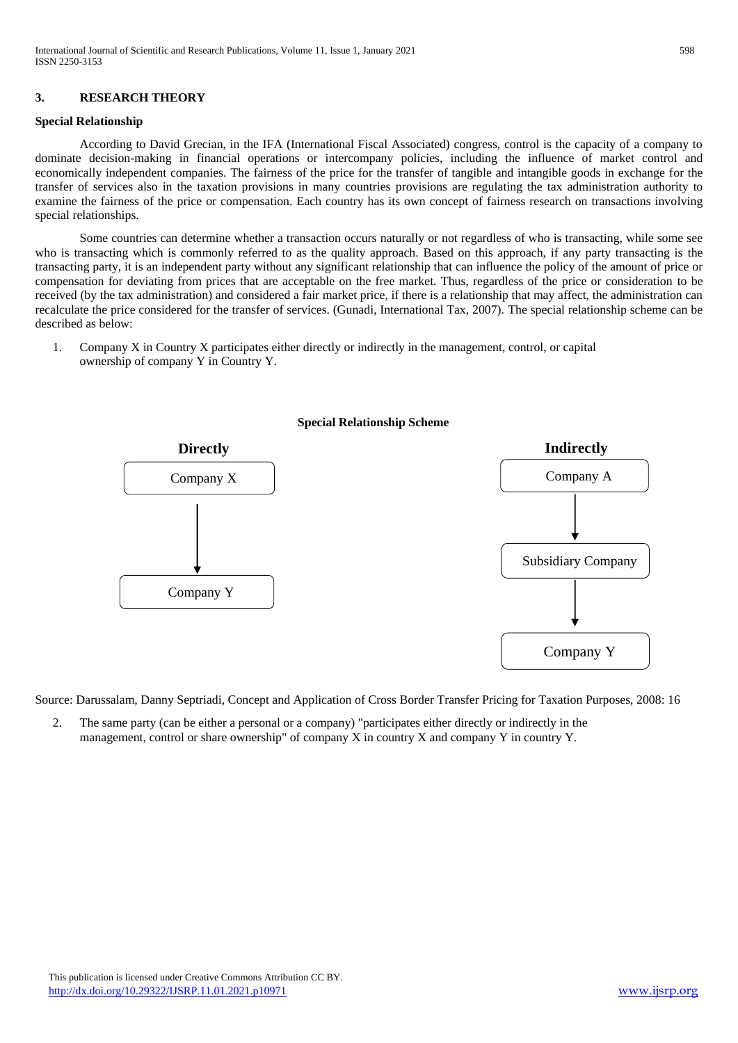## **3. RESEARCH THEORY**

### **Special Relationship**

According to David Grecian, in the IFA (International Fiscal Associated) congress, control is the capacity of a company to dominate decision-making in financial operations or intercompany policies, including the influence of market control and economically independent companies. The fairness of the price for the transfer of tangible and intangible goods in exchange for the transfer of services also in the taxation provisions in many countries provisions are regulating the tax administration authority to examine the fairness of the price or compensation. Each country has its own concept of fairness research on transactions involving special relationships.

Some countries can determine whether a transaction occurs naturally or not regardless of who is transacting, while some see who is transacting which is commonly referred to as the quality approach. Based on this approach, if any party transacting is the transacting party, it is an independent party without any significant relationship that can influence the policy of the amount of price or compensation for deviating from prices that are acceptable on the free market. Thus, regardless of the price or consideration to be received (by the tax administration) and considered a fair market price, if there is a relationship that may affect, the administration can recalculate the price considered for the transfer of services. (Gunadi, International Tax, 2007). The special relationship scheme can be described as below:

1. Company X in Country X participates either directly or indirectly in the management, control, or capital ownership of company Y in Country Y.



Source: Darussalam, Danny Septriadi, Concept and Application of Cross Border Transfer Pricing for Taxation Purposes, 2008: 16

2. The same party (can be either a personal or a company) "participates either directly or indirectly in the management, control or share ownership" of company X in country X and company Y in country Y.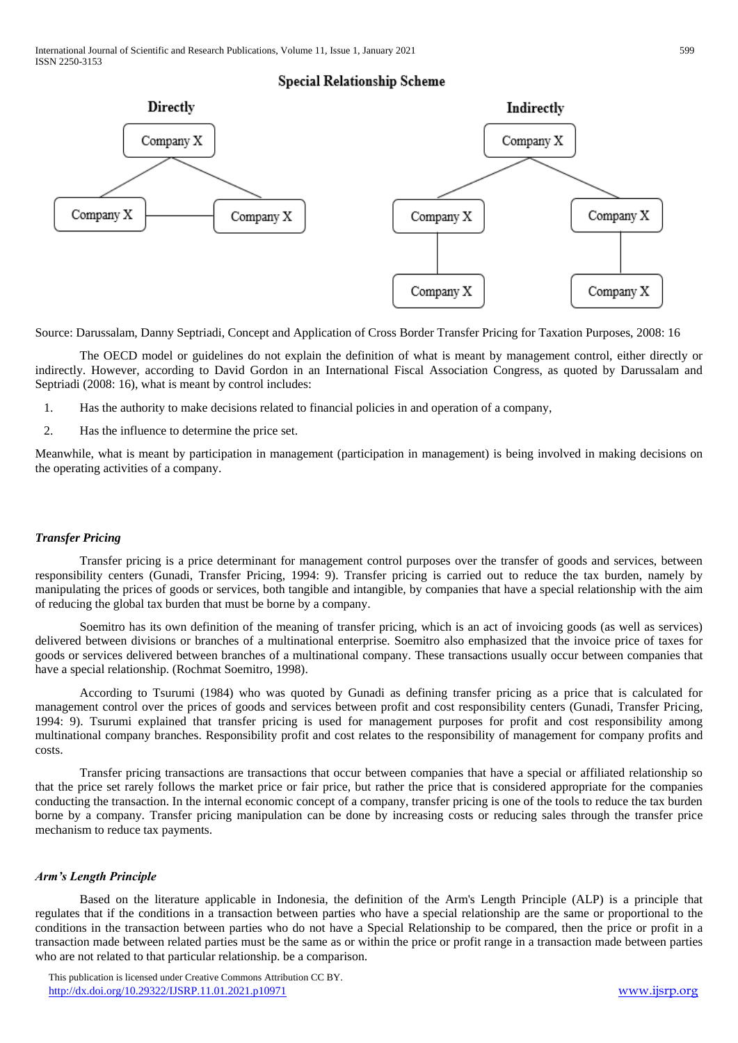# **Special Relationship Scheme**



Source: Darussalam, Danny Septriadi, Concept and Application of Cross Border Transfer Pricing for Taxation Purposes, 2008: 16

The OECD model or guidelines do not explain the definition of what is meant by management control, either directly or indirectly. However, according to David Gordon in an International Fiscal Association Congress, as quoted by Darussalam and Septriadi (2008: 16), what is meant by control includes:

- 1. Has the authority to make decisions related to financial policies in and operation of a company,
- 2. Has the influence to determine the price set.

Meanwhile, what is meant by participation in management (participation in management) is being involved in making decisions on the operating activities of a company.

## *Transfer Pricing*

Transfer pricing is a price determinant for management control purposes over the transfer of goods and services, between responsibility centers (Gunadi, Transfer Pricing, 1994: 9). Transfer pricing is carried out to reduce the tax burden, namely by manipulating the prices of goods or services, both tangible and intangible, by companies that have a special relationship with the aim of reducing the global tax burden that must be borne by a company.

Soemitro has its own definition of the meaning of transfer pricing, which is an act of invoicing goods (as well as services) delivered between divisions or branches of a multinational enterprise. Soemitro also emphasized that the invoice price of taxes for goods or services delivered between branches of a multinational company. These transactions usually occur between companies that have a special relationship. (Rochmat Soemitro, 1998).

According to Tsurumi (1984) who was quoted by Gunadi as defining transfer pricing as a price that is calculated for management control over the prices of goods and services between profit and cost responsibility centers (Gunadi, Transfer Pricing, 1994: 9). Tsurumi explained that transfer pricing is used for management purposes for profit and cost responsibility among multinational company branches. Responsibility profit and cost relates to the responsibility of management for company profits and costs.

Transfer pricing transactions are transactions that occur between companies that have a special or affiliated relationship so that the price set rarely follows the market price or fair price, but rather the price that is considered appropriate for the companies conducting the transaction. In the internal economic concept of a company, transfer pricing is one of the tools to reduce the tax burden borne by a company. Transfer pricing manipulation can be done by increasing costs or reducing sales through the transfer price mechanism to reduce tax payments.

#### *Arm's Length Principle*

Based on the literature applicable in Indonesia, the definition of the Arm's Length Principle (ALP) is a principle that regulates that if the conditions in a transaction between parties who have a special relationship are the same or proportional to the conditions in the transaction between parties who do not have a Special Relationship to be compared, then the price or profit in a transaction made between related parties must be the same as or within the price or profit range in a transaction made between parties who are not related to that particular relationship. be a comparison.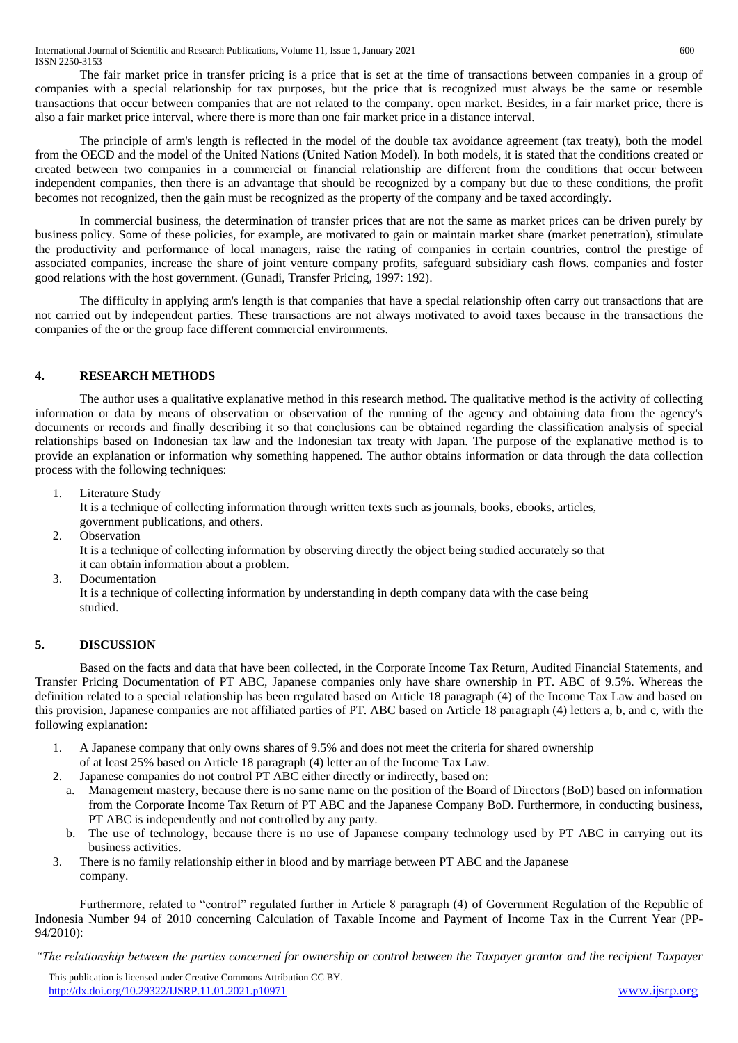The fair market price in transfer pricing is a price that is set at the time of transactions between companies in a group of companies with a special relationship for tax purposes, but the price that is recognized must always be the same or resemble transactions that occur between companies that are not related to the company. open market. Besides, in a fair market price, there is also a fair market price interval, where there is more than one fair market price in a distance interval.

The principle of arm's length is reflected in the model of the double tax avoidance agreement (tax treaty), both the model from the OECD and the model of the United Nations (United Nation Model). In both models, it is stated that the conditions created or created between two companies in a commercial or financial relationship are different from the conditions that occur between independent companies, then there is an advantage that should be recognized by a company but due to these conditions, the profit becomes not recognized, then the gain must be recognized as the property of the company and be taxed accordingly.

In commercial business, the determination of transfer prices that are not the same as market prices can be driven purely by business policy. Some of these policies, for example, are motivated to gain or maintain market share (market penetration), stimulate the productivity and performance of local managers, raise the rating of companies in certain countries, control the prestige of associated companies, increase the share of joint venture company profits, safeguard subsidiary cash flows. companies and foster good relations with the host government. (Gunadi, Transfer Pricing, 1997: 192).

The difficulty in applying arm's length is that companies that have a special relationship often carry out transactions that are not carried out by independent parties. These transactions are not always motivated to avoid taxes because in the transactions the companies of the or the group face different commercial environments.

# **4. RESEARCH METHODS**

The author uses a qualitative explanative method in this research method. The qualitative method is the activity of collecting information or data by means of observation or observation of the running of the agency and obtaining data from the agency's documents or records and finally describing it so that conclusions can be obtained regarding the classification analysis of special relationships based on Indonesian tax law and the Indonesian tax treaty with Japan. The purpose of the explanative method is to provide an explanation or information why something happened. The author obtains information or data through the data collection process with the following techniques:

1. Literature Study

It is a technique of collecting information through written texts such as journals, books, ebooks, articles,

- government publications, and others.
- 2. Observation

It is a technique of collecting information by observing directly the object being studied accurately so that it can obtain information about a problem.

3. Documentation

It is a technique of collecting information by understanding in depth company data with the case being studied.

# **5. DISCUSSION**

Based on the facts and data that have been collected, in the Corporate Income Tax Return, Audited Financial Statements, and Transfer Pricing Documentation of PT ABC, Japanese companies only have share ownership in PT. ABC of 9.5%. Whereas the definition related to a special relationship has been regulated based on Article 18 paragraph (4) of the Income Tax Law and based on this provision, Japanese companies are not affiliated parties of PT. ABC based on Article 18 paragraph (4) letters a, b, and c, with the following explanation:

- 1. A Japanese company that only owns shares of 9.5% and does not meet the criteria for shared ownership
- of at least 25% based on Article 18 paragraph (4) letter an of the Income Tax Law. 2. Japanese companies do not control PT ABC either directly or indirectly, based on:
	- a. Management mastery, because there is no same name on the position of the Board of Directors (BoD) based on information from the Corporate Income Tax Return of PT ABC and the Japanese Company BoD. Furthermore, in conducting business, PT ABC is independently and not controlled by any party.
	- b. The use of technology, because there is no use of Japanese company technology used by PT ABC in carrying out its business activities.
- 3. There is no family relationship either in blood and by marriage between PT ABC and the Japanese company.

Furthermore, related to "control" regulated further in Article 8 paragraph (4) of Government Regulation of the Republic of Indonesia Number 94 of 2010 concerning Calculation of Taxable Income and Payment of Income Tax in the Current Year (PP-94/2010):

*"The relationship between the parties concerned for ownership or control between the Taxpayer grantor and the recipient Taxpayer*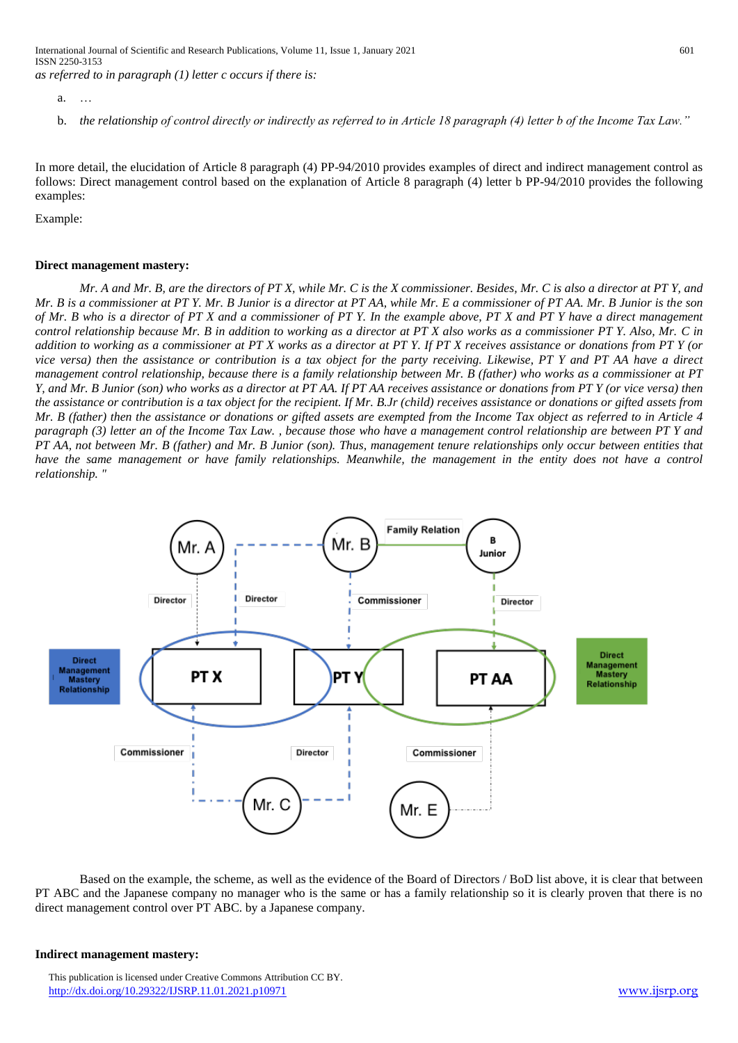b. *the relationship of control directly or indirectly as referred to in Article 18 paragraph (4) letter b of the Income Tax Law."*

In more detail, the elucidation of Article 8 paragraph (4) PP-94/2010 provides examples of direct and indirect management control as follows: Direct management control based on the explanation of Article 8 paragraph (4) letter b PP-94/2010 provides the following examples:

Example:

#### **Direct management mastery:**

*Mr. A and Mr. B, are the directors of PT X, while Mr. C is the X commissioner. Besides, Mr. C is also a director at PT Y, and Mr. B is a commissioner at PT Y. Mr. B Junior is a director at PT AA, while Mr. E a commissioner of PT AA. Mr. B Junior is the son of Mr. B who is a director of PT X and a commissioner of PT Y. In the example above, PT X and PT Y have a direct management control relationship because Mr. B in addition to working as a director at PT X also works as a commissioner PT Y. Also, Mr. C in addition to working as a commissioner at PT X works as a director at PT Y. If PT X receives assistance or donations from PT Y (or vice versa) then the assistance or contribution is a tax object for the party receiving. Likewise, PT Y and PT AA have a direct management control relationship, because there is a family relationship between Mr. B (father) who works as a commissioner at PT Y, and Mr. B Junior (son) who works as a director at PT AA. If PT AA receives assistance or donations from PT Y (or vice versa) then the assistance or contribution is a tax object for the recipient. If Mr. B.Jr (child) receives assistance or donations or gifted assets from Mr. B (father) then the assistance or donations or gifted assets are exempted from the Income Tax object as referred to in Article 4 paragraph (3) letter an of the Income Tax Law. , because those who have a management control relationship are between PT Y and PT AA, not between Mr. B (father) and Mr. B Junior (son). Thus, management tenure relationships only occur between entities that*  have the same management or have family relationships. Meanwhile, the management in the entity does not have a control *relationship. "*



Based on the example, the scheme, as well as the evidence of the Board of Directors / BoD list above, it is clear that between PT ABC and the Japanese company no manager who is the same or has a family relationship so it is clearly proven that there is no direct management control over PT ABC. by a Japanese company.

#### **Indirect management mastery:**

a. …

This publication is licensed under Creative Commons Attribution CC BY. <http://dx.doi.org/10.29322/IJSRP.11.01.2021.p10971> [www.ijsrp.org](http://ijsrp.org/)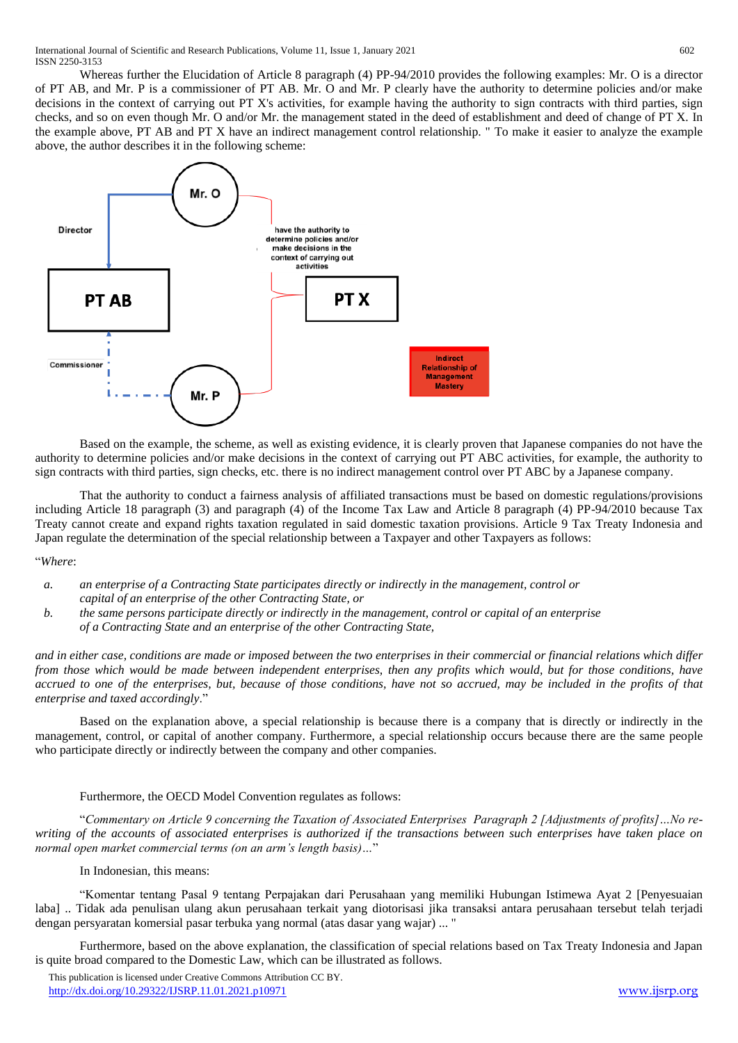Whereas further the Elucidation of Article 8 paragraph (4) PP-94/2010 provides the following examples: Mr. O is a director of PT AB, and Mr. P is a commissioner of PT AB. Mr. O and Mr. P clearly have the authority to determine policies and/or make decisions in the context of carrying out PT X's activities, for example having the authority to sign contracts with third parties, sign checks, and so on even though Mr. O and/or Mr. the management stated in the deed of establishment and deed of change of PT X. In the example above, PT AB and PT X have an indirect management control relationship. " To make it easier to analyze the example above, the author describes it in the following scheme:



Based on the example, the scheme, as well as existing evidence, it is clearly proven that Japanese companies do not have the authority to determine policies and/or make decisions in the context of carrying out PT ABC activities, for example, the authority to sign contracts with third parties, sign checks, etc. there is no indirect management control over PT ABC by a Japanese company.

That the authority to conduct a fairness analysis of affiliated transactions must be based on domestic regulations/provisions including Article 18 paragraph (3) and paragraph (4) of the Income Tax Law and Article 8 paragraph (4) PP-94/2010 because Tax Treaty cannot create and expand rights taxation regulated in said domestic taxation provisions. Article 9 Tax Treaty Indonesia and Japan regulate the determination of the special relationship between a Taxpayer and other Taxpayers as follows:

"*Where*:

- *a. an enterprise of a Contracting State participates directly or indirectly in the management, control or capital of an enterprise of the other Contracting State, or*
- *b. the same persons participate directly or indirectly in the management, control or capital of an enterprise of a Contracting State and an enterprise of the other Contracting State,*

*and in either case, conditions are made or imposed between the two enterprises in their commercial or financial relations which differ from those which would be made between independent enterprises, then any profits which would, but for those conditions, have accrued to one of the enterprises, but, because of those conditions, have not so accrued, may be included in the profits of that enterprise and taxed accordingly*."

Based on the explanation above, a special relationship is because there is a company that is directly or indirectly in the management, control, or capital of another company. Furthermore, a special relationship occurs because there are the same people who participate directly or indirectly between the company and other companies.

# Furthermore, the OECD Model Convention regulates as follows:

"*Commentary on Article 9 concerning the Taxation of Associated Enterprises Paragraph 2 [Adjustments of profits]…No rewriting of the accounts of associated enterprises is authorized if the transactions between such enterprises have taken place on normal open market commercial terms (on an arm's length basis)…*"

## In Indonesian, this means:

"Komentar tentang Pasal 9 tentang Perpajakan dari Perusahaan yang memiliki Hubungan Istimewa Ayat 2 [Penyesuaian laba] .. Tidak ada penulisan ulang akun perusahaan terkait yang diotorisasi jika transaksi antara perusahaan tersebut telah terjadi dengan persyaratan komersial pasar terbuka yang normal (atas dasar yang wajar) ... "

Furthermore, based on the above explanation, the classification of special relations based on Tax Treaty Indonesia and Japan is quite broad compared to the Domestic Law, which can be illustrated as follows.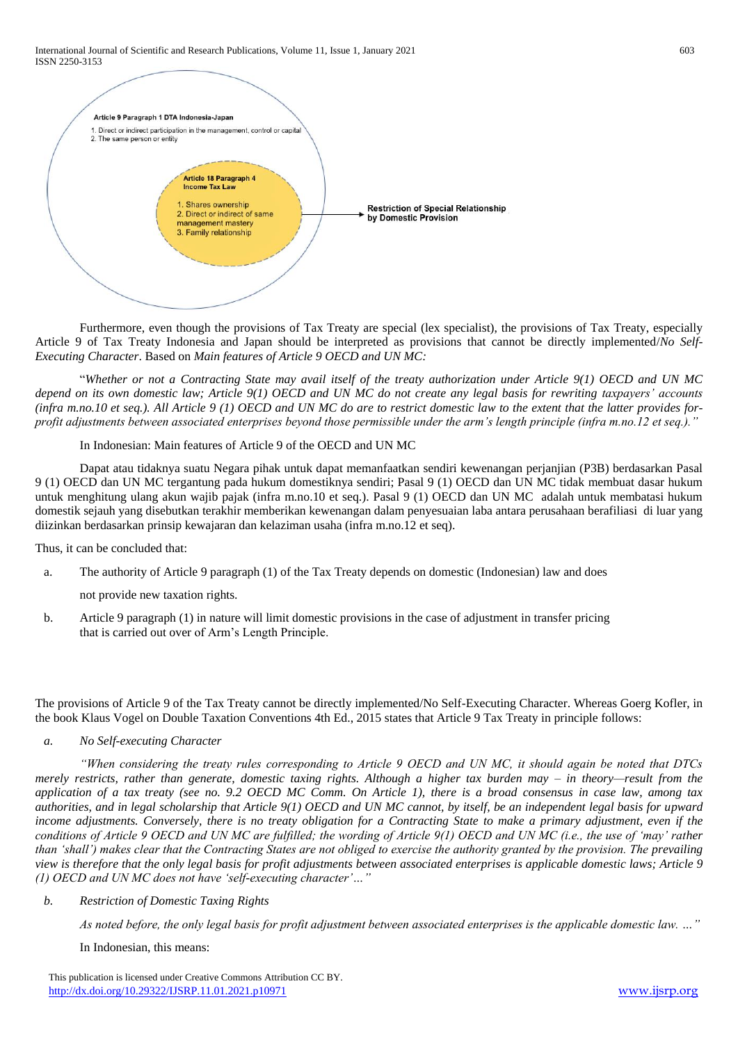

Furthermore, even though the provisions of Tax Treaty are special (lex specialist), the provisions of Tax Treaty, especially Article 9 of Tax Treaty Indonesia and Japan should be interpreted as provisions that cannot be directly implemented/*No Self-Executing Character*. Based on *Main features of Article 9 OECD and UN MC:*

"*Whether or not a Contracting State may avail itself of the treaty authorization under Article 9(1) OECD and UN MC depend on its own domestic law; Article 9(1) OECD and UN MC do not create any legal basis for rewriting taxpayers' accounts (infra m.no.10 et seq.). All Article 9 (1) OECD and UN MC do are to restrict domestic law to the extent that the latter provides forprofit adjustments between associated enterprises beyond those permissible under the arm's length principle (infra m.no.12 et seq.)."*

### In Indonesian: Main features of Article 9 of the OECD and UN MC

Dapat atau tidaknya suatu Negara pihak untuk dapat memanfaatkan sendiri kewenangan perjanjian (P3B) berdasarkan Pasal 9 (1) OECD dan UN MC tergantung pada hukum domestiknya sendiri; Pasal 9 (1) OECD dan UN MC tidak membuat dasar hukum untuk menghitung ulang akun wajib pajak (infra m.no.10 et seq.). Pasal 9 (1) OECD dan UN MC adalah untuk membatasi hukum domestik sejauh yang disebutkan terakhir memberikan kewenangan dalam penyesuaian laba antara perusahaan berafiliasi di luar yang diizinkan berdasarkan prinsip kewajaran dan kelaziman usaha (infra m.no.12 et seq).

Thus, it can be concluded that:

a. The authority of Article 9 paragraph (1) of the Tax Treaty depends on domestic (Indonesian) law and does

not provide new taxation rights.

b. Article 9 paragraph (1) in nature will limit domestic provisions in the case of adjustment in transfer pricing that is carried out over of Arm's Length Principle.

The provisions of Article 9 of the Tax Treaty cannot be directly implemented/No Self-Executing Character. Whereas Goerg Kofler, in the book Klaus Vogel on Double Taxation Conventions 4th Ed., 2015 states that Article 9 Tax Treaty in principle follows:

## *a. No Self-executing Character*

*"When considering the treaty rules corresponding to Article 9 OECD and UN MC, it should again be noted that DTCs merely restricts, rather than generate, domestic taxing rights. Although a higher tax burden may – in theory—result from the application of a tax treaty (see no. 9.2 OECD MC Comm. On Article 1), there is a broad consensus in case law, among tax authorities, and in legal scholarship that Article 9(1) OECD and UN MC cannot, by itself, be an independent legal basis for upward income adjustments. Conversely, there is no treaty obligation for a Contracting State to make a primary adjustment, even if the conditions of Article 9 OECD and UN MC are fulfilled; the wording of Article 9(1) OECD and UN MC (i.e., the use of 'may' rather than 'shall') makes clear that the Contracting States are not obliged to exercise the authority granted by the provision. The prevailing view is therefore that the only legal basis for profit adjustments between associated enterprises is applicable domestic laws; Article 9 (1) OECD and UN MC does not have 'self-executing character'…"*

# *b. Restriction of Domestic Taxing Rights*

*As noted before, the only legal basis for profit adjustment between associated enterprises is the applicable domestic law. …"*

In Indonesian, this means: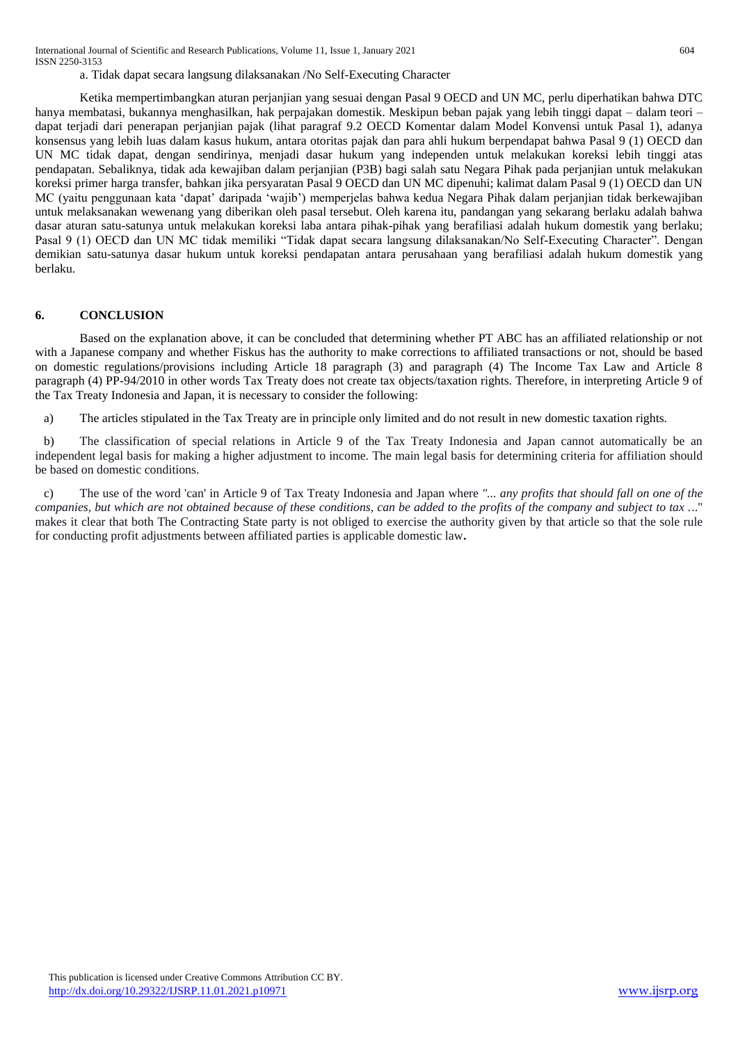a. Tidak dapat secara langsung dilaksanakan /No Self-Executing Character

Ketika mempertimbangkan aturan perjanjian yang sesuai dengan Pasal 9 OECD and UN MC, perlu diperhatikan bahwa DTC hanya membatasi, bukannya menghasilkan, hak perpajakan domestik. Meskipun beban pajak yang lebih tinggi dapat – dalam teori – dapat terjadi dari penerapan perjanjian pajak (lihat paragraf 9.2 OECD Komentar dalam Model Konvensi untuk Pasal 1), adanya konsensus yang lebih luas dalam kasus hukum, antara otoritas pajak dan para ahli hukum berpendapat bahwa Pasal 9 (1) OECD dan UN MC tidak dapat, dengan sendirinya, menjadi dasar hukum yang independen untuk melakukan koreksi lebih tinggi atas pendapatan. Sebaliknya, tidak ada kewajiban dalam perjanjian (P3B) bagi salah satu Negara Pihak pada perjanjian untuk melakukan koreksi primer harga transfer, bahkan jika persyaratan Pasal 9 OECD dan UN MC dipenuhi; kalimat dalam Pasal 9 (1) OECD dan UN MC (yaitu penggunaan kata 'dapat' daripada 'wajib') memperjelas bahwa kedua Negara Pihak dalam perjanjian tidak berkewajiban untuk melaksanakan wewenang yang diberikan oleh pasal tersebut. Oleh karena itu, pandangan yang sekarang berlaku adalah bahwa dasar aturan satu-satunya untuk melakukan koreksi laba antara pihak-pihak yang berafiliasi adalah hukum domestik yang berlaku; Pasal 9 (1) OECD dan UN MC tidak memiliki "Tidak dapat secara langsung dilaksanakan/No Self-Executing Character". Dengan demikian satu-satunya dasar hukum untuk koreksi pendapatan antara perusahaan yang berafiliasi adalah hukum domestik yang berlaku.

#### **6. CONCLUSION**

Based on the explanation above, it can be concluded that determining whether PT ABC has an affiliated relationship or not with a Japanese company and whether Fiskus has the authority to make corrections to affiliated transactions or not, should be based on domestic regulations/provisions including Article 18 paragraph (3) and paragraph (4) The Income Tax Law and Article 8 paragraph (4) PP-94/2010 in other words Tax Treaty does not create tax objects/taxation rights. Therefore, in interpreting Article 9 of the Tax Treaty Indonesia and Japan, it is necessary to consider the following:

a) The articles stipulated in the Tax Treaty are in principle only limited and do not result in new domestic taxation rights.

b) The classification of special relations in Article 9 of the Tax Treaty Indonesia and Japan cannot automatically be an independent legal basis for making a higher adjustment to income. The main legal basis for determining criteria for affiliation should be based on domestic conditions.

c) The use of the word 'can' in Article 9 of Tax Treaty Indonesia and Japan where *"... any profits that should fall on one of the companies, but which are not obtained because of these conditions, can be added to the profits of the company and subject to tax .*.." makes it clear that both The Contracting State party is not obliged to exercise the authority given by that article so that the sole rule for conducting profit adjustments between affiliated parties is applicable domestic law**.**